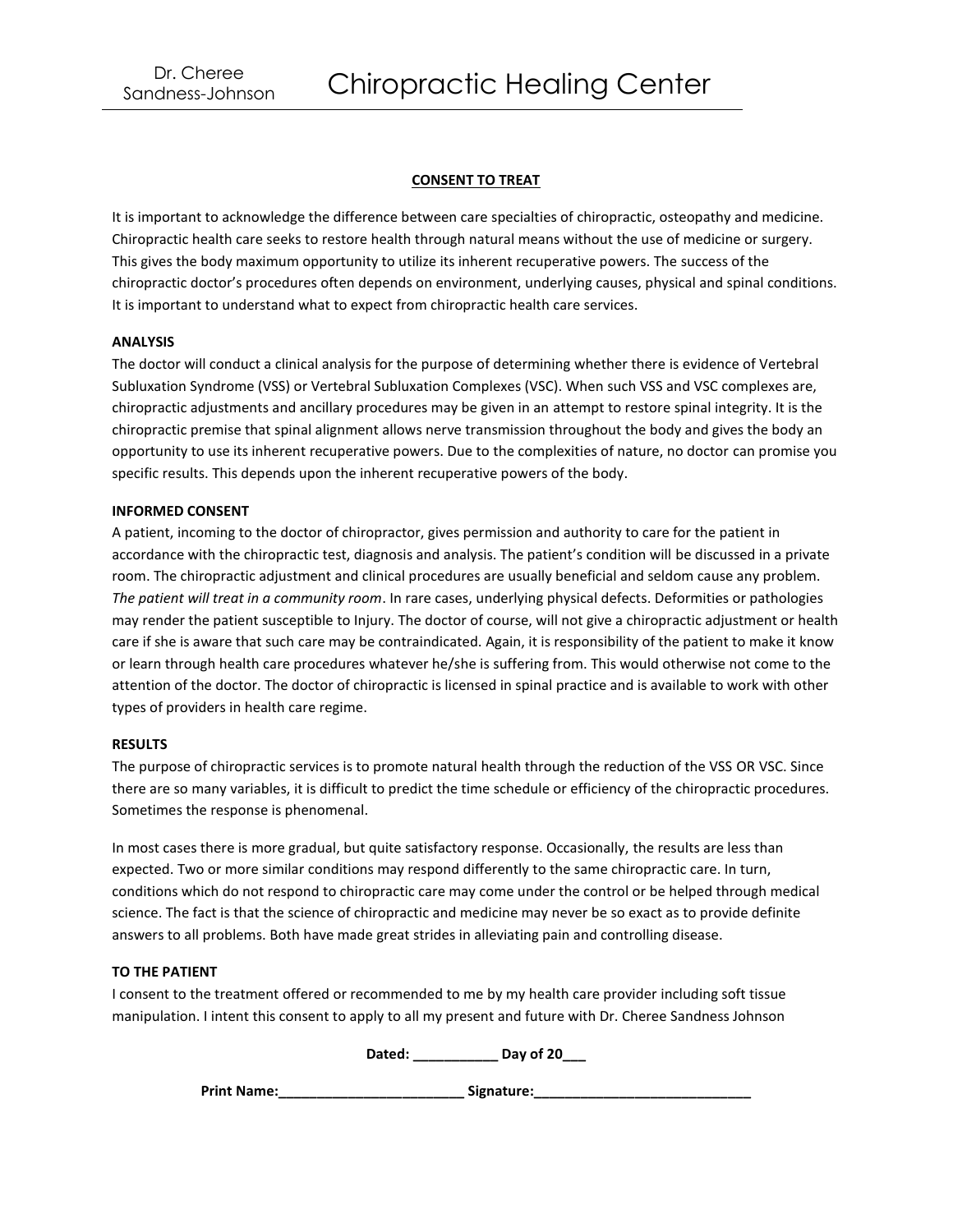## **CONSENT TO TREAT**

It is important to acknowledge the difference between care specialties of chiropractic, osteopathy and medicine. Chiropractic health care seeks to restore health through natural means without the use of medicine or surgery. This gives the body maximum opportunity to utilize its inherent recuperative powers. The success of the chiropractic doctor's procedures often depends on environment, underlying causes, physical and spinal conditions. It is important to understand what to expect from chiropractic health care services.

### **ANALYSIS**

The doctor will conduct a clinical analysis for the purpose of determining whether there is evidence of Vertebral Subluxation Syndrome (VSS) or Vertebral Subluxation Complexes (VSC). When such VSS and VSC complexes are, chiropractic adjustments and ancillary procedures may be given in an attempt to restore spinal integrity. It is the chiropractic premise that spinal alignment allows nerve transmission throughout the body and gives the body an opportunity to use its inherent recuperative powers. Due to the complexities of nature, no doctor can promise you specific results. This depends upon the inherent recuperative powers of the body.

#### **INFORMED CONSENT**

A patient, incoming to the doctor of chiropractor, gives permission and authority to care for the patient in accordance with the chiropractic test, diagnosis and analysis. The patient's condition will be discussed in a private room. The chiropractic adjustment and clinical procedures are usually beneficial and seldom cause any problem. *The patient will treat in a community room*. In rare cases, underlying physical defects. Deformities or pathologies may render the patient susceptible to Injury. The doctor of course, will not give a chiropractic adjustment or health care if she is aware that such care may be contraindicated. Again, it is responsibility of the patient to make it know or learn through health care procedures whatever he/she is suffering from. This would otherwise not come to the attention of the doctor. The doctor of chiropractic is licensed in spinal practice and is available to work with other types of providers in health care regime.

## **RESULTS**

The purpose of chiropractic services is to promote natural health through the reduction of the VSS OR VSC. Since there are so many variables, it is difficult to predict the time schedule or efficiency of the chiropractic procedures. Sometimes the response is phenomenal.

In most cases there is more gradual, but quite satisfactory response. Occasionally, the results are less than expected. Two or more similar conditions may respond differently to the same chiropractic care. In turn, conditions which do not respond to chiropractic care may come under the control or be helped through medical science. The fact is that the science of chiropractic and medicine may never be so exact as to provide definite answers to all problems. Both have made great strides in alleviating pain and controlling disease.

#### **TO THE PATIENT**

I consent to the treatment offered or recommended to me by my health care provider including soft tissue manipulation. I intent this consent to apply to all my present and future with Dr. Cheree Sandness Johnson

**Dated: \_\_\_\_\_\_\_\_\_\_\_ Day of 20\_\_\_**

Print Name:\_\_\_\_\_\_\_\_\_\_\_\_\_\_\_\_\_\_\_\_\_\_\_\_\_\_\_\_\_\_\_\_Signature:\_\_\_\_\_\_\_\_\_\_\_\_\_\_\_\_\_\_\_\_\_\_\_\_\_\_\_\_